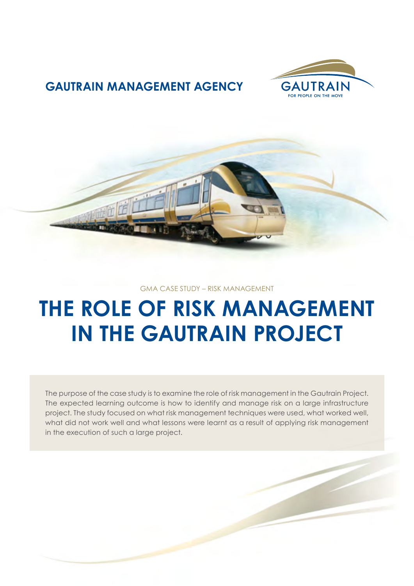

### **GAUTRAIN MANAGEMENT AGENCY**



#### GMA CASE STUDY – RISK MANAGEMENT

# **THE ROLE OF RISK MANAGEMENT IN THE GAUTRAIN PROJECT**

The purpose of the case study is to examine the role of risk management in the Gautrain Project. The expected learning outcome is how to identify and manage risk on a large infrastructure project. The study focused on what risk management techniques were used, what worked well, what did not work well and what lessons were learnt as a result of applying risk management in the execution of such a large project.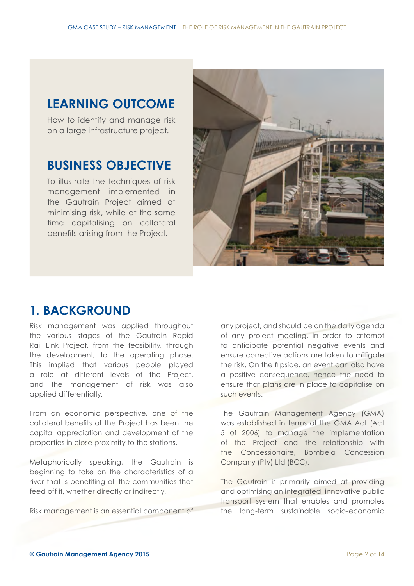### **LEARNING OUTCOME**

How to identify and manage risk on a large infrastructure project.

### **BUSINESS OBJECTIVE**

To illustrate the techniques of risk management implemented in the Gautrain Project aimed at minimising risk, while at the same time capitalising on collateral benefits arising from the Project.



### **1. BACKGROUND**

Risk management was applied throughout the various stages of the Gautrain Rapid Rail Link Project, from the feasibility, through the development, to the operating phase. This implied that various people played a role at different levels of the Project, and the management of risk was also applied differentially.

From an economic perspective, one of the collateral benefits of the Project has been the capital appreciation and development of the properties in close proximity to the stations.

Metaphorically speaking, the Gautrain is beginning to take on the characteristics of a river that is benefiting all the communities that feed off it, whether directly or indirectly.

Risk management is an essential component of

any project, and should be on the daily agenda of any project meeting, in order to attempt to anticipate potential negative events and ensure corrective actions are taken to mitigate the risk. On the flipside, an event can also have a positive consequence, hence the need to ensure that plans are in place to capitalise on such events.

The Gautrain Management Agency (GMA) was established in terms of the GMA Act (Act 5 of 2006) to manage the implementation of the Project and the relationship with the Concessionaire, Bombela Concession Company (Pty) Ltd (BCC).

The Gautrain is primarily aimed at providing and optimising an integrated, innovative public transport system that enables and promotes the long-term sustainable socio-economic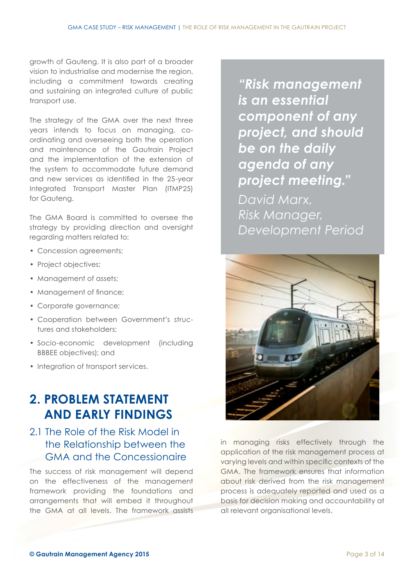growth of Gauteng. It is also part of a broader vision to industrialise and modernise the region, including a commitment towards creating and sustaining an integrated culture of public transport use.

The strategy of the GMA over the next three years intends to focus on managing, coordinating and overseeing both the operation and maintenance of the Gautrain Project and the implementation of the extension of the system to accommodate future demand and new services as identified in the 25‑year Integrated Transport Master Plan (ITMP25) for Gauteng.

The GMA Board is committed to oversee the strategy by providing direction and oversight regarding matters related to:

- Concession agreements;
- Project objectives;
- Management of assets;
- Management of finance;
- Corporate governance;
- Cooperation between Government's structures and stakeholders;
- Socio-economic development (including BBBEE objectives); and
- Integration of transport services.

### **2. PROBLEM STATEMENT AND EARLY FINDINGS**

### 2.1 The Role of the Risk Model in the Relationship between the GMA and the Concessionaire

The success of risk management will depend on the effectiveness of the management framework providing the foundations and arrangements that will embed it throughout the GMA at all levels. The framework assists

*"Risk management is an essential component of any project, and should be on the daily agenda of any project meeting." David Marx, Risk Manager, Development Period*



in managing risks effectively through the application of the risk management process at varying levels and within specific contexts of the GMA. The framework ensures that information about risk derived from the risk management process is adequately reported and used as a basis for decision making and accountability at all relevant organisational levels.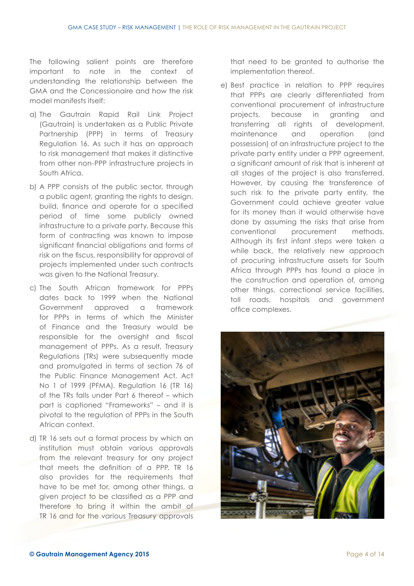The following salient points are therefore important to note in the context of understanding the relationship between the GMA and the Concessionaire and how the risk model manifests itself:

- a) The Gautrain Rapid Rail Link Project (Gautrain) is undertaken as a Public Private Partnership (PPP) in terms of Treasury Regulation 16. As such it has an approach to risk management that makes it distinctive from other non-PPP infrastructure projects in South Africa.
- b) A PPP consists of the public sector, through a public agent, granting the rights to design, build, finance and operate for a specified period of time some publicly owned infrastructure to a private party. Because this form of contracting was known to impose significant financial obligations and forms of risk on the fiscus, responsibility for approval of projects implemented under such contracts was given to the National Treasury.
- c) The South African framework for PPPs dates back to 1999 when the National Government approved a framework for PPPs in terms of which the Minister of Finance and the Treasury would be responsible for the oversight and fiscal management of PPPs. As a result, Treasury Regulations (TRs) were subsequently made and promulgated in terms of section 76 of the Public Finance Management Act, Act No 1 of 1999 (PFMA). Regulation 16 (TR 16) of the TRs falls under Part 6 thereof – which part is captioned "Frameworks" – and it is pivotal to the regulation of PPPs in the South African context.
- d) TR 16 sets out a formal process by which an institution must obtain various approvals from the relevant treasury for any project that meets the definition of a PPP. TR 16 also provides for the requirements that have to be met for, among other things, a given project to be classified as a PPP and therefore to bring it within the ambit of TR 16 and for the various Treasury approvals

that need to be granted to authorise the implementation thereof.

e) Best practice in relation to PPP requires that PPPs are clearly differentiated from conventional procurement of infrastructure projects, because in granting and transferring all rights of development, maintenance and operation (and possession) of an infrastructure project to the private party entity under a PPP agreement, a significant amount of risk that is inherent at all stages of the project is also transferred. However, by causing the transference of such risk to the private party entity, the Government could achieve greater value for its money than it would otherwise have done by assuming the risks that arise from conventional procurement methods. Although its first infant steps were taken a while back, the relatively new approach of procuring infrastructure assets for South Africa through PPPs has found a place in the construction and operation of, among other things, correctional service facilities, toll roads, hospitals and government office complexes.

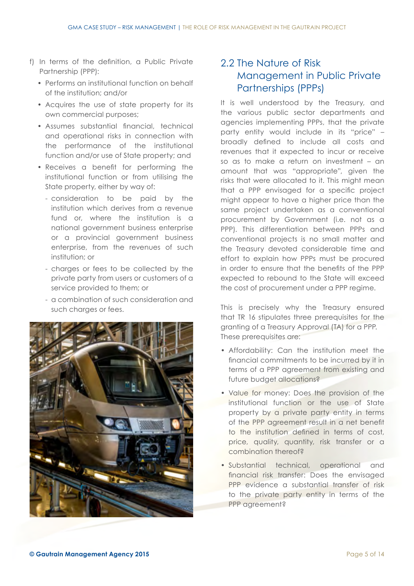- f) In terms of the definition, a Public Private Partnership (PPP):
	- Performs an institutional function on behalf of the institution; and/or
	- Acquires the use of state property for its own commercial purposes;
	- Assumes substantial financial, technical and operational risks in connection with the performance of the institutional function and/or use of State property; and
	- Receives a benefit for performing the institutional function or from utilising the State property, either by way of:
		- consideration to be paid by the institution which derives from a revenue fund or, where the institution is a national government business enterprise or a provincial government business enterprise, from the revenues of such institution; or
		- charges or fees to be collected by the private party from users or customers of a service provided to them; or
		- a combination of such consideration and such charges or fees.



#### 2.2 The Nature of Risk Management in Public Private Partnerships (PPPs)

It is well understood by the Treasury, and the various public sector departments and agencies implementing PPPs, that the private party entity would include in its "price" – broadly defined to include all costs and revenues that it expected to incur or receive so as to make a return on investment – an amount that was "appropriate", given the risks that were allocated to it. This might mean that a PPP envisaged for a specific project might appear to have a higher price than the same project undertaken as a conventional procurement by Government (i.e. not as a PPP). This differentiation between PPPs and conventional projects is no small matter and the Treasury devoted considerable time and effort to explain how PPPs must be procured in order to ensure that the benefits of the PPP expected to rebound to the State will exceed the cost of procurement under a PPP regime.

This is precisely why the Treasury ensured that TR 16 stipulates three prerequisites for the granting of a Treasury Approval (TA) for a PPP. These prerequisites are:

- Affordability: Can the institution meet the financial commitments to be incurred by it in terms of a PPP agreement from existing and future budget allocations?
- Value for money: Does the provision of the institutional function or the use of State property by a private party entity in terms of the PPP agreement result in a net benefit to the institution defined in terms of cost, price, quality, quantity, risk transfer or a combination thereof?
- Substantial technical, operational and financial risk transfer: Does the envisaged PPP evidence a substantial transfer of risk to the private party entity in terms of the PPP agreement?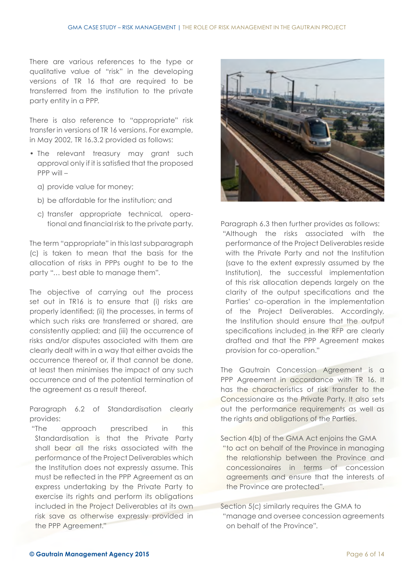There are various references to the type or qualitative value of "risk" in the developing versions of TR 16 that are required to be transferred from the institution to the private party entity in a PPP.

There is also reference to "appropriate" risk transfer in versions of TR 16 versions. For example, in May 2002, TR 16.3.2 provided as follows:

- The relevant treasury may grant such approval only if it is satisfied that the proposed PPP will –
	- a) provide value for money;
	- b) be affordable for the institution; and
	- c) transfer appropriate technical, operational and financial risk to the private party.

The term "appropriate" in this last subparagraph (c) is taken to mean that the basis for the allocation of risks in PPPs ought to be to the party "… best able to manage them".

The objective of carrying out the process set out in TR16 is to ensure that (i) risks are properly identified; (ii) the processes, in terms of which such risks are transferred or shared, are consistently applied; and (iii) the occurrence of risks and/or disputes associated with them are clearly dealt with in a way that either avoids the occurrence thereof or, if that cannot be done, at least then minimises the impact of any such occurrence and of the potential termination of the agreement as a result thereof.

Paragraph 6.2 of Standardisation clearly provides:

 "The approach prescribed in this Standardisation is that the Private Party shall bear all the risks associated with the performance of the Project Deliverables which the Institution does not expressly assume. This must be reflected in the PPP Agreement as an express undertaking by the Private Party to exercise its rights and perform its obligations included in the Project Deliverables at its own risk save as otherwise expressly provided in the PPP Agreement."



Paragraph 6.3 then further provides as follows: "Although the risks associated with the performance of the Project Deliverables reside with the Private Party and not the Institution (save to the extent expressly assumed by the Institution), the successful implementation of this risk allocation depends largely on the clarity of the output specifications and the Parties' co-operation in the implementation of the Project Deliverables. Accordingly, the Institution should ensure that the output specifications included in the RFP are clearly drafted and that the PPP Agreement makes provision for co-operation."

The Gautrain Concession Agreement is a PPP Agreement in accordance with TR 16. It has the characteristics of risk transfer to the Concessionaire as the Private Party. It also sets out the performance requirements as well as the rights and obligations of the Parties.

Section 4(b) of the GMA Act enjoins the GMA

 "to act on behalf of the Province in managing the relationship between the Province and concessionaires in terms of concession agreements and ensure that the interests of the Province are protected".

Section 5(c) similarly requires the GMA to "manage and oversee concession agreements on behalf of the Province".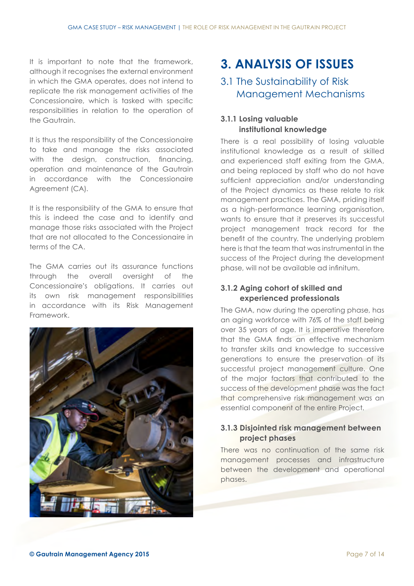It is important to note that the framework, although it recognises the external environment in which the GMA operates, does not intend to replicate the risk management activities of the Concessionaire, which is tasked with specific responsibilities in relation to the operation of the Gautrain.

It is thus the responsibility of the Concessionaire to take and manage the risks associated with the design, construction, financing, operation and maintenance of the Gautrain in accordance with the Concessionaire Agreement (CA).

It is the responsibility of the GMA to ensure that this is indeed the case and to identify and manage those risks associated with the Project that are not allocated to the Concessionaire in terms of the CA.

The GMA carries out its assurance functions through the overall oversight of the Concessionaire's obligations. It carries out its own risk management responsibilities in accordance with its Risk Management Framework.



## **3. ANALYSIS OF ISSUES**

### 3.1 The Sustainability of Risk Management Mechanisms

#### **3.1.1 Losing valuable institutional knowledge**

There is a real possibility of losing valuable institutional knowledge as a result of skilled and experienced staff exiting from the GMA, and being replaced by staff who do not have sufficient appreciation and/or understanding of the Project dynamics as these relate to risk management practices. The GMA, priding itself as a high-performance learning organisation, wants to ensure that it preserves its successful project management track record for the benefit of the country. The underlying problem here is that the team that was instrumental in the success of the Project during the development phase, will not be available ad infinitum.

#### **3.1.2 Aging cohort of skilled and experienced professionals**

The GMA, now during the operating phase, has an aging workforce with 76% of the staff being over 35 years of age. It is imperative therefore that the GMA finds an effective mechanism to transfer skills and knowledge to successive generations to ensure the preservation of its successful project management culture. One of the major factors that contributed to the success of the development phase was the fact that comprehensive risk management was an essential component of the entire Project.

#### **3.1.3 Disjointed risk management between project phases**

There was no continuation of the same risk management processes and infrastructure between the development and operational phases.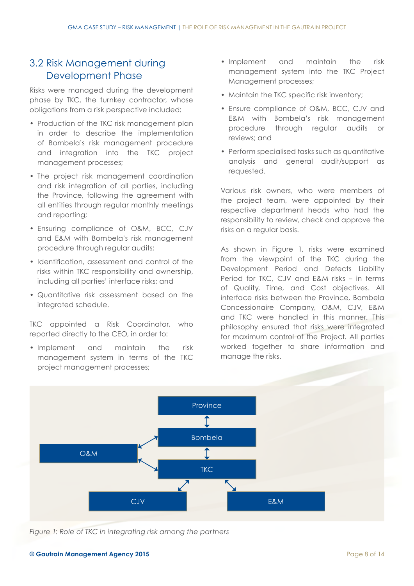#### 3.2 Risk Management during Development Phase

Risks were managed during the development phase by TKC, the turnkey contractor, whose obligations from a risk perspective included:

- Production of the TKC risk management plan in order to describe the implementation of Bombela's risk management procedure and integration into the TKC project management processes;
- The project risk management coordination and risk integration of all parties, including the Province, following the agreement with all entities through regular monthly meetings and reporting;
- Ensuring compliance of O&M, BCC, CJV and E&M with Bombela's risk management procedure through regular audits;
- Identification, assessment and control of the risks within TKC responsibility and ownership, including all parties' interface risks; and
- Quantitative risk assessment based on the integrated schedule.

TKC appointed a Risk Coordinator, who reported directly to the CEO, in order to:

• Implement and maintain the risk management system in terms of the TKC project management processes;

- Implement and maintain the risk management system into the TKC Project Management processes;
- Maintain the TKC specific risk inventory;
- Ensure compliance of O&M, BCC, CJV and E&M with Bombela's risk management procedure through regular audits or reviews; and
- Perform specialised tasks such as quantitative analysis and general audit/support as requested.

Various risk owners, who were members of the project team, were appointed by their respective department heads who had the responsibility to review, check and approve the risks on a regular basis.

As shown in Figure 1, risks were examined from the viewpoint of the TKC during the Development Period and Defects Liability Period for TKC, CJV and E&M risks – in terms of Quality, Time, and Cost objectives. All interface risks between the Province, Bombela Concessionaire Company, O&M, CJV, E&M and TKC were handled in this manner. This philosophy ensured that risks were integrated for maximum control of the Project. All parties worked together to share information and manage the risks.



*Figure 1: Role of TKC in integrating risk among the partners*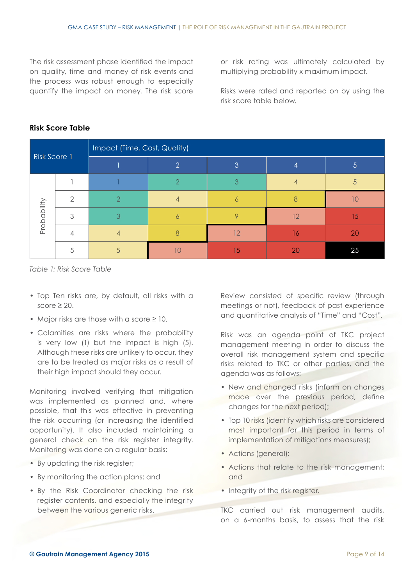The risk assessment phase identified the impact on quality, time and money of risk events and the process was robust enough to especially quantify the impact on money. The risk score or risk rating was ultimately calculated by multiplying probability x maximum impact.

Risks were rated and reported on by using the risk score table below.

| Risk Score 1 |   | Impact (Time, Cost, Quality) |               |    |    |    |
|--------------|---|------------------------------|---------------|----|----|----|
|              |   |                              | $\Omega$      | 3  |    | 5  |
| Probability  |   |                              | $\mathcal{D}$ |    |    | 5  |
|              | ⌒ | $\mathcal{P}$                |               |    |    |    |
|              | ≏ | 3                            |               |    | 12 | 15 |
|              |   | 4                            |               | 12 | 16 | 20 |
|              |   |                              |               | 15 | 20 | 25 |

#### **Risk Score Table**

*Table 1: Risk Score Table*

- Top Ten risks are, by default, all risks with a score  $\geq 20$ .
- Major risks are those with a score ≥ 10.
- Calamities are risks where the probability is very low (1) but the impact is high (5). Although these risks are unlikely to occur, they are to be treated as major risks as a result of their high impact should they occur.

Monitoring involved verifying that mitigation was implemented as planned and, where possible, that this was effective in preventing the risk occurring (or increasing the identified opportunity). It also included maintaining a general check on the risk register integrity. Monitoring was done on a regular basis:

- By updating the risk register;
- By monitoring the action plans; and
- By the Risk Coordinator checking the risk register contents, and especially the integrity between the various generic risks.

Review consisted of specific review (through meetings or not), feedback of past experience and quantitative analysis of "Time" and "Cost".

Risk was an agenda point of TKC project management meeting in order to discuss the overall risk management system and specific risks related to TKC or other parties, and the agenda was as follows:

- New and changed risks (inform on changes made over the previous period, define changes for the next period);
- Top 10 risks (identify which risks are considered most important for this period in terms of implementation of mitigations measures);
- Actions (general);
- Actions that relate to the risk management; and
- Integrity of the risk register.

TKC carried out risk management audits, on a 6-months basis, to assess that the risk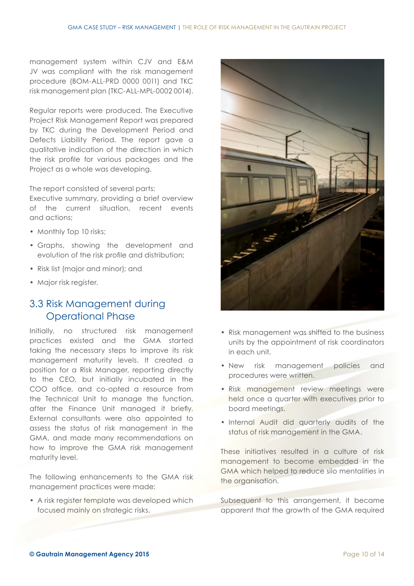management system within CJV and E&M JV was compliant with the risk management procedure (BOM-ALL-PRD 0000 0011) and TKC risk management plan (TKC-ALL-MPL-0002 0014).

Regular reports were produced. The Executive Project Risk Management Report was prepared by TKC during the Development Period and Defects Liability Period. The report gave a qualitative indication of the direction in which the risk profile for various packages and the Project as a whole was developing.

The report consisted of several parts:

Executive summary, providing a brief overview of the current situation, recent events and actions;

- Monthly Top 10 risks;
- Graphs, showing the development and evolution of the risk profile and distribution;
- Risk list (major and minor); and
- Major risk register.

#### 3.3 Risk Management during Operational Phase

Initially, no structured risk management practices existed and the GMA started taking the necessary steps to improve its risk management maturity levels. It created a position for a Risk Manager, reporting directly to the CEO, but initially incubated in the COO office, and co-opted a resource from the Technical Unit to manage the function, after the Finance Unit managed it briefly. External consultants were also appointed to assess the status of risk management in the GMA, and made many recommendations on how to improve the GMA risk management maturity level.

The following enhancements to the GMA risk management practices were made:

• A risk register template was developed which focused mainly on strategic risks.



- Risk management was shifted to the business units by the appointment of risk coordinators in each unit.
- New risk management policies and procedures were written.
- Risk management review meetings were held once a quarter with executives prior to board meetings.
- Internal Audit did quarterly audits of the status of risk management in the GMA.

These initiatives resulted in a culture of risk management to become embedded in the GMA which helped to reduce silo mentalities in the organisation.

Subsequent to this arrangement, it became apparent that the growth of the GMA required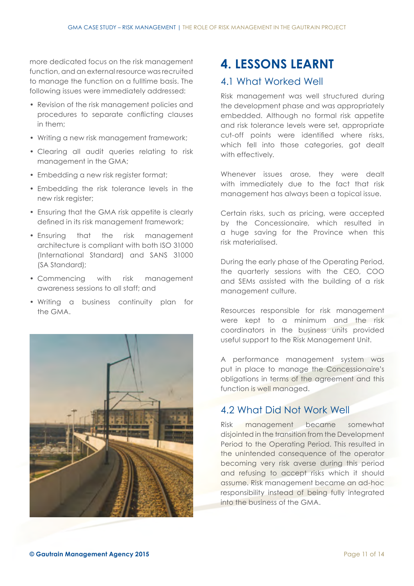more dedicated focus on the risk management function, and an external resource was recruited to manage the function on a fulltime basis. The following issues were immediately addressed:

- Revision of the risk management policies and procedures to separate conflicting clauses in them;
- Writing a new risk management framework;
- Clearing all audit queries relating to risk management in the GMA;
- Embedding a new risk register format;
- Embedding the risk tolerance levels in the new risk register;
- Ensuring that the GMA risk appetite is clearly defined in its risk management framework;
- Ensuring that the risk management architecture is compliant with both ISO 31000 (International Standard) and SANS 31000 (SA Standard);
- Commencing with risk management awareness sessions to all staff; and
- Writing a business continuity plan for the GMA.



### **4. LESSONS LEARNT**

#### 4.1 What Worked Well

Risk management was well structured during the development phase and was appropriately embedded. Although no formal risk appetite and risk tolerance levels were set, appropriate cut-off points were identified where risks, which fell into those categories, got dealt with effectively.

Whenever issues arose, they were dealt with immediately due to the fact that risk management has always been a topical issue.

Certain risks, such as pricing, were accepted by the Concessionaire, which resulted in a huge saving for the Province when this risk materialised.

During the early phase of the Operating Period, the quarterly sessions with the CEO, COO and SEMs assisted with the building of a risk management culture.

Resources responsible for risk management were kept to a minimum and the risk coordinators in the business units provided useful support to the Risk Management Unit.

A performance management system was put in place to manage the Concessionaire's obligations in terms of the agreement and this function is well managed.

#### 4.2 What Did Not Work Well

Risk management became somewhat disjointed in the transition from the Development Period to the Operating Period. This resulted in the unintended consequence of the operator becoming very risk averse during this period and refusing to accept risks which it should assume. Risk management became an ad-hoc responsibility instead of being fully integrated into the business of the GMA.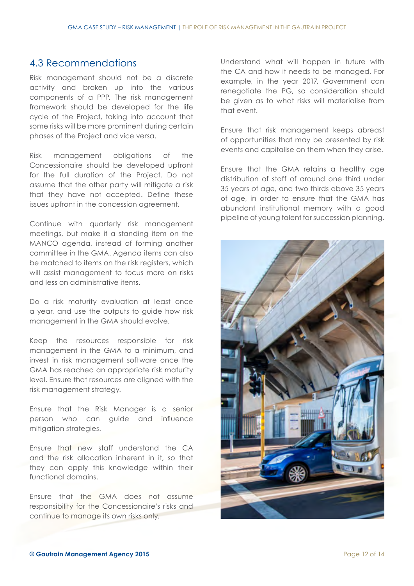#### 4.3 Recommendations

Risk management should not be a discrete activity and broken up into the various components of a PPP. The risk management framework should be developed for the life cycle of the Project, taking into account that some risks will be more prominent during certain phases of the Project and vice versa.

Risk management obligations of the Concessionaire should be developed upfront for the full duration of the Project. Do not assume that the other party will mitigate a risk that they have not accepted. Define these issues upfront in the concession agreement.

Continue with quarterly risk management meetings, but make it a standing item on the MANCO agenda, instead of forming another committee in the GMA. Agenda items can also be matched to items on the risk registers, which will assist management to focus more on risks and less on administrative items.

Do a risk maturity evaluation at least once a year, and use the outputs to guide how risk management in the GMA should evolve.

Keep the resources responsible for risk management in the GMA to a minimum, and invest in risk management software once the GMA has reached an appropriate risk maturity level. Ensure that resources are aligned with the risk management strategy.

Ensure that the Risk Manager is a senior person who can guide and influence mitigation strategies.

Ensure that new staff understand the CA and the risk allocation inherent in it, so that they can apply this knowledge within their functional domains.

Ensure that the GMA does not assume responsibility for the Concessionaire's risks and continue to manage its own risks only.

Understand what will happen in future with the CA and how it needs to be managed. For example, in the year 2017, Government can renegotiate the PG, so consideration should be given as to what risks will materialise from that event.

Ensure that risk management keeps abreast of opportunities that may be presented by risk events and capitalise on them when they arise.

Ensure that the GMA retains a healthy age distribution of staff of around one third under 35 years of age, and two thirds above 35 years of age, in order to ensure that the GMA has abundant institutional memory with a good pipeline of young talent for succession planning.

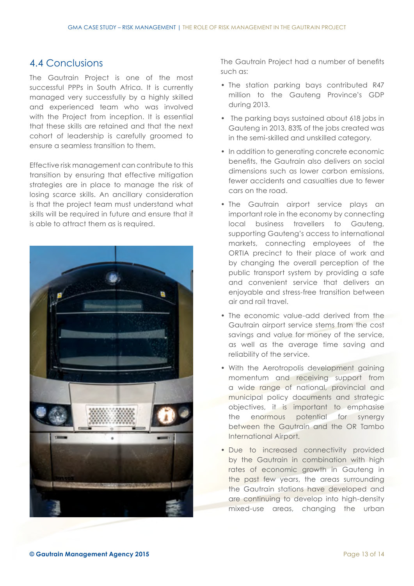#### 4.4 Conclusions

The Gautrain Project is one of the most successful PPPs in South Africa. It is currently managed very successfully by a highly skilled and experienced team who was involved with the Project from inception. It is essential that these skills are retained and that the next cohort of leadership is carefully groomed to ensure a seamless transition to them.

Effective risk management can contribute to this transition by ensuring that effective mitigation strategies are in place to manage the risk of losing scarce skills. An ancillary consideration is that the project team must understand what skills will be required in future and ensure that it is able to attract them as is required.



The Gautrain Project had a number of benefits such as:

- The station parking bays contributed R47 million to the Gauteng Province's GDP during 2013.
- The parking bays sustained about 618 jobs in Gauteng in 2013, 83% of the jobs created was in the semi-skilled and unskilled category.
- In addition to generating concrete economic benefits, the Gautrain also delivers on social dimensions such as lower carbon emissions, fewer accidents and casualties due to fewer cars on the road.
- The Gautrain airport service plays an important role in the economy by connecting local business travellers to Gauteng, supporting Gauteng's access to international markets, connecting employees of the ORTIA precinct to their place of work and by changing the overall perception of the public transport system by providing a safe and convenient service that delivers an enjoyable and stress-free transition between air and rail travel.
- The economic value-add derived from the Gautrain airport service stems from the cost savings and value for money of the service, as well as the average time saving and reliability of the service.
- With the Aerotropolis development gaining momentum and receiving support from a wide range of national, provincial and municipal policy documents and strategic objectives, it is important to emphasise the enormous potential for synergy between the Gautrain and the OR Tambo International Airport.
- Due to increased connectivity provided by the Gautrain in combination with high rates of economic growth in Gauteng in the past few years, the areas surrounding the Gautrain stations have developed and are continuing to develop into high-density mixed-use areas, changing the urban